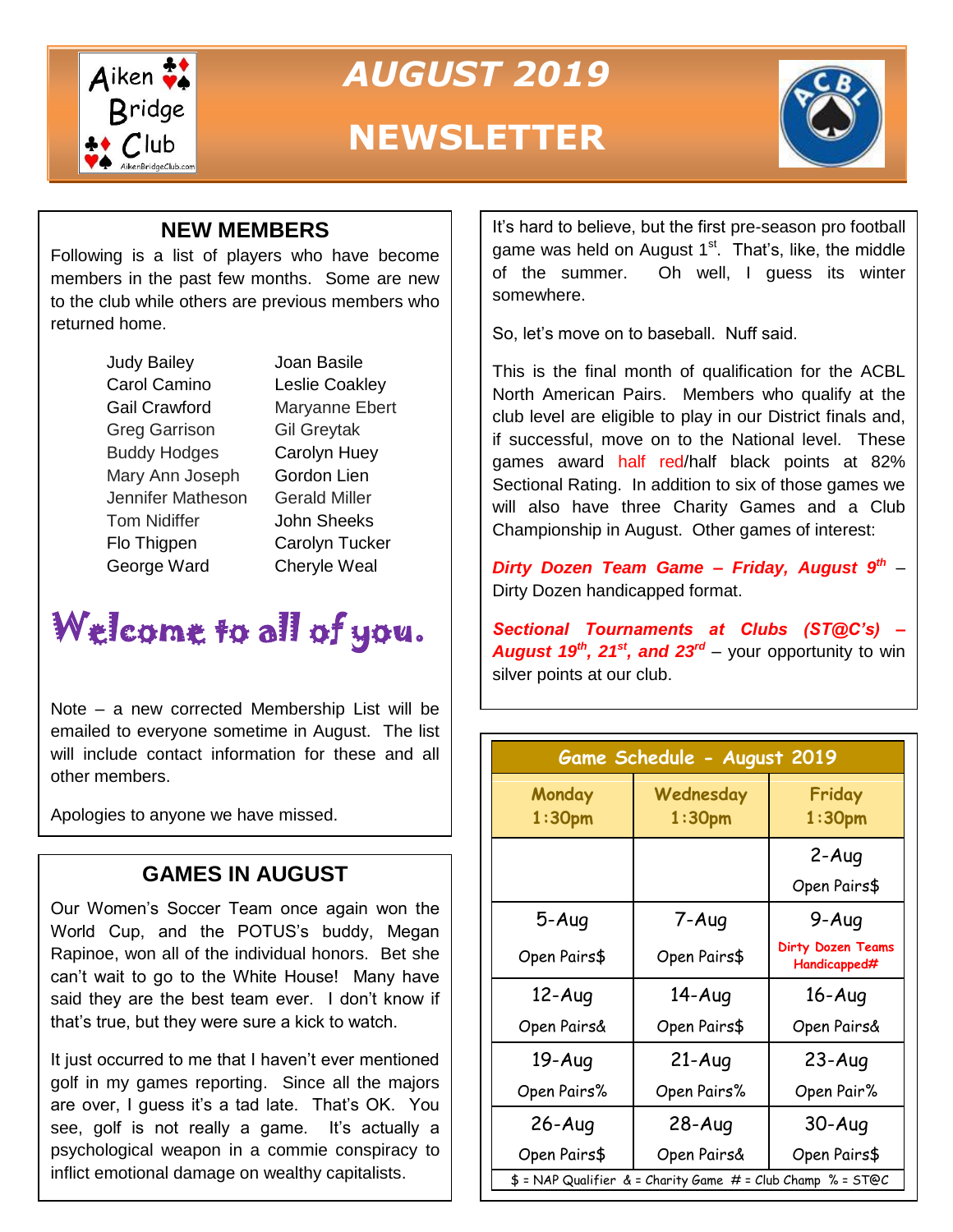

*AUGUST 2019*

## **NEWSLETTER**



#### **NEW MEMBERS**

Following is a list of players who have become members in the past few months. Some are new to the club while others are previous members who returned home.

> Judy Bailey Joan Basile Carol Camino Leslie Coakley Gail Crawford Maryanne Ebert Greg Garrison Gil Greytak Buddy Hodges Carolyn Huey Mary Ann Joseph Gordon Lien Jennifer Matheson Gerald Miller Tom Nidiffer John Sheeks Flo Thigpen Carolyn Tucker George Ward Cheryle Weal

# Welcome to all of you.

Note – a new corrected Membership List will be emailed to everyone sometime in August. The list will include contact information for these and all other members.

Apologies to anyone we have missed.

#### **GAMES IN AUGUST**

Our Women's Soccer Team once again won the World Cup, and the POTUS's buddy, Megan Rapinoe, won all of the individual honors. Bet she can't wait to go to the White House! Many have said they are the best team ever. I don't know if that's true, but they were sure a kick to watch.

It just occurred to me that I haven't ever mentioned golf in my games reporting. Since all the majors are over, I guess it's a tad late. That's OK. You see, golf is not really a game. It's actually a psychological weapon in a commie conspiracy to inflict emotional damage on wealthy capitalists.

It's hard to believe, but the first pre-season pro football game was held on August 1<sup>st</sup>. That's, like, the middle of the summer. Oh well, I guess its winter somewhere.

So, let's move on to baseball. Nuff said.

This is the final month of qualification for the ACBL North American Pairs. Members who qualify at the club level are eligible to play in our District finals and, if successful, move on to the National level. These games award half red/half black points at 82% Sectional Rating. In addition to six of those games we will also have three Charity Games and a Club Championship in August. Other games of interest:

*Dirty Dozen Team Game – Friday, August 9th* – Dirty Dozen handicapped format.

*Sectional Tournaments at Clubs (ST@C's) – August 19th, 21st, and 23rd* – your opportunity to win silver points at our club.

| Game Schedule - August 2019                                 |                                 |                                   |
|-------------------------------------------------------------|---------------------------------|-----------------------------------|
| Monday<br>$1:30$ pm                                         | Wednesday<br>1:30 <sub>pm</sub> | Friday<br>1:30 <sub>pm</sub>      |
|                                                             |                                 | 2-Aug<br>Open Pairs\$             |
| $5-Aug$                                                     | 7-Aug                           | 9-Aug                             |
| Open Pairs\$                                                | Open Pairs\$                    | Dirty Dozen Teams<br>Handicapped# |
| 12-Aug                                                      | 14-Aug                          | 16-Aug                            |
| Open Pairs&                                                 | Open Pairs\$                    | Open Pairs&                       |
| 19-Aug                                                      | $21 - Aug$                      | $23 - Aug$                        |
| Open Pairs%                                                 | Open Pairs%                     | Open Pair%                        |
| $26 - Aug$                                                  | $28 - Aug$                      | $30 - A uq$                       |
| Open Pairs\$                                                | Open Pairs&                     | Open Pairs\$                      |
| \$ = NAP Qualifier & = Charity Game # = Club Champ % = ST@C |                                 |                                   |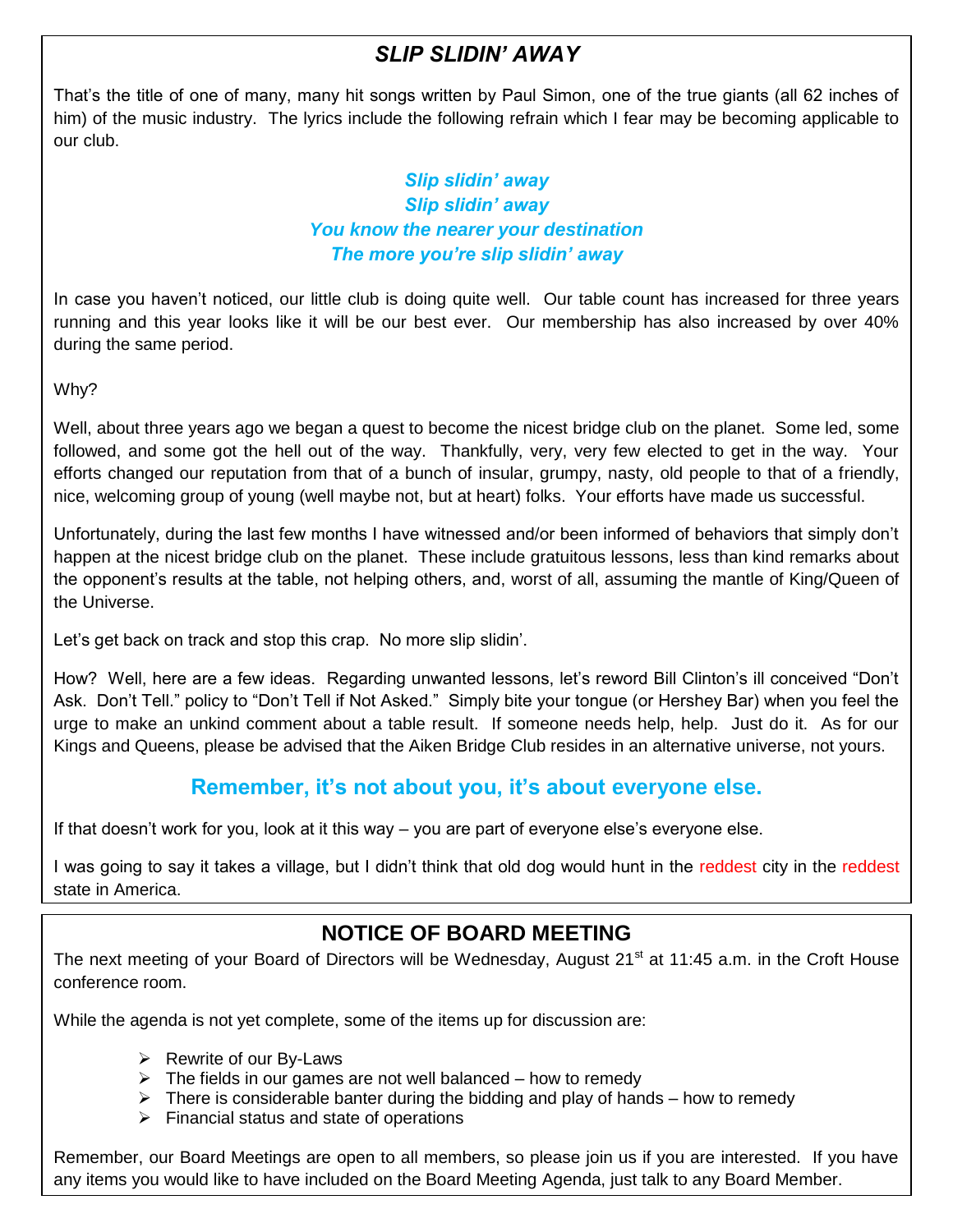### *SLIP SLIDIN' AWAY*

That's the title of one of many, many hit songs written by Paul Simon, one of the true giants (all 62 inches of him) of the music industry. The lyrics include the following refrain which I fear may be becoming applicable to our club.

#### *Slip slidin' away Slip slidin' away You know the nearer your destination The more you're slip slidin' away*

In case you haven't noticed, our little club is doing quite well. Our table count has increased for three years running and this year looks like it will be our best ever. Our membership has also increased by over 40% during the same period.

Why?

Well, about three years ago we began a quest to become the nicest bridge club on the planet. Some led, some followed, and some got the hell out of the way. Thankfully, very, very few elected to get in the way. Your efforts changed our reputation from that of a bunch of insular, grumpy, nasty, old people to that of a friendly, nice, welcoming group of young (well maybe not, but at heart) folks. Your efforts have made us successful.

Unfortunately, during the last few months I have witnessed and/or been informed of behaviors that simply don't happen at the nicest bridge club on the planet. These include gratuitous lessons, less than kind remarks about the opponent's results at the table, not helping others, and, worst of all, assuming the mantle of King/Queen of the Universe.

Let's get back on track and stop this crap. No more slip slidin'.

How? Well, here are a few ideas. Regarding unwanted lessons, let's reword Bill Clinton's ill conceived "Don't Ask. Don't Tell." policy to "Don't Tell if Not Asked." Simply bite your tongue (or Hershey Bar) when you feel the urge to make an unkind comment about a table result. If someone needs help, help. Just do it. As for our Kings and Queens, please be advised that the Aiken Bridge Club resides in an alternative universe, not yours.

#### **Remember, it's not about you, it's about everyone else.**

If that doesn't work for you, look at it this way – you are part of everyone else's everyone else.

I was going to say it takes a village, but I didn't think that old dog would hunt in the reddest city in the reddest state in America.

### **NOTICE OF BOARD MEETING**

The next meeting of your Board of Directors will be Wednesday, August 21<sup>st</sup> at 11:45 a.m. in the Croft House conference room.

While the agenda is not yet complete, some of the items up for discussion are:

- $\triangleright$  Rewrite of our By-Laws
- $\triangleright$  The fields in our games are not well balanced how to remedy
- $\triangleright$  There is considerable banter during the bidding and play of hands how to remedy
- $\triangleright$  Financial status and state of operations

Remember, our Board Meetings are open to all members, so please join us if you are interested. If you have any items you would like to have included on the Board Meeting Agenda, just talk to any Board Member.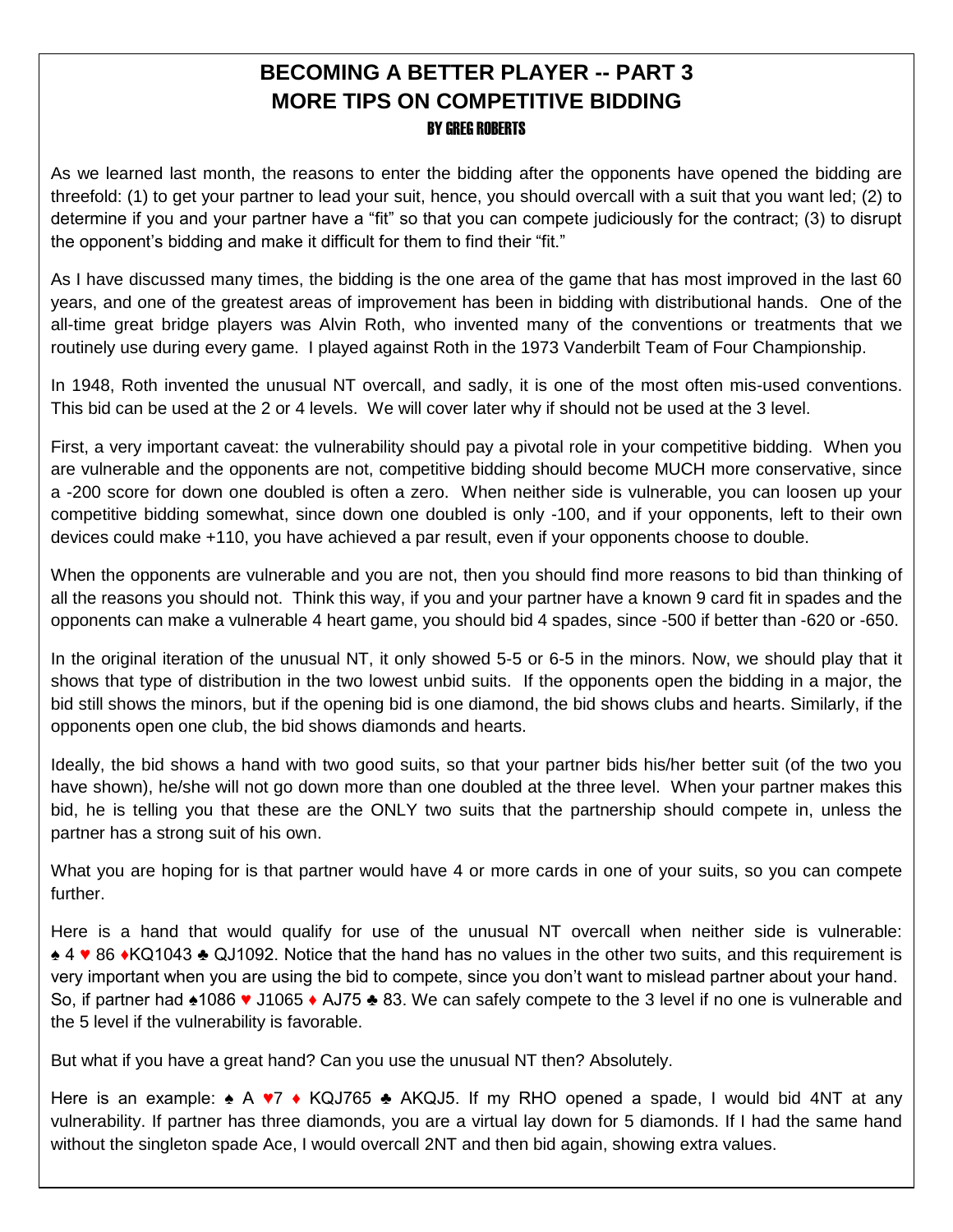#### **BECOMING A BETTER PLAYER -- PART 3 MORE TIPS ON COMPETITIVE BIDDING** BY GREG ROBERTS

As we learned last month, the reasons to enter the bidding after the opponents have opened the bidding are threefold: (1) to get your partner to lead your suit, hence, you should overcall with a suit that you want led; (2) to determine if you and your partner have a "fit" so that you can compete judiciously for the contract; (3) to disrupt the opponent's bidding and make it difficult for them to find their "fit."

As I have discussed many times, the bidding is the one area of the game that has most improved in the last 60 years, and one of the greatest areas of improvement has been in bidding with distributional hands. One of the all-time great bridge players was Alvin Roth, who invented many of the conventions or treatments that we routinely use during every game. I played against Roth in the 1973 Vanderbilt Team of Four Championship.

In 1948, Roth invented the unusual NT overcall, and sadly, it is one of the most often mis-used conventions. This bid can be used at the 2 or 4 levels. We will cover later why if should not be used at the 3 level.

First, a very important caveat: the vulnerability should pay a pivotal role in your competitive bidding. When you are vulnerable and the opponents are not, competitive bidding should become MUCH more conservative, since a -200 score for down one doubled is often a zero. When neither side is vulnerable, you can loosen up your competitive bidding somewhat, since down one doubled is only -100, and if your opponents, left to their own devices could make +110, you have achieved a par result, even if your opponents choose to double.

When the opponents are vulnerable and you are not, then you should find more reasons to bid than thinking of all the reasons you should not. Think this way, if you and your partner have a known 9 card fit in spades and the opponents can make a vulnerable 4 heart game, you should bid 4 spades, since -500 if better than -620 or -650.

In the original iteration of the unusual NT, it only showed 5-5 or 6-5 in the minors. Now, we should play that it shows that type of distribution in the two lowest unbid suits. If the opponents open the bidding in a major, the bid still shows the minors, but if the opening bid is one diamond, the bid shows clubs and hearts. Similarly, if the opponents open one club, the bid shows diamonds and hearts.

Ideally, the bid shows a hand with two good suits, so that your partner bids his/her better suit (of the two you have shown), he/she will not go down more than one doubled at the three level. When your partner makes this bid, he is telling you that these are the ONLY two suits that the partnership should compete in, unless the partner has a strong suit of his own.

What you are hoping for is that partner would have 4 or more cards in one of your suits, so you can compete further.

Here is a hand that would qualify for use of the unusual NT overcall when neither side is vulnerable: ♠ 4 ♥ 86 ♦KQ1043 ♣ QJ1092. Notice that the hand has no values in the other two suits, and this requirement is very important when you are using the bid to compete, since you don't want to mislead partner about your hand. So, if partner had ♠1086 ♥ J1065 ♦ AJ75 ♣ 83. We can safely compete to the 3 level if no one is vulnerable and the 5 level if the vulnerability is favorable.

But what if you have a great hand? Can you use the unusual NT then? Absolutely.

-

Here is an example:  $\triangleq$  A  $\blacktriangledown$   $\blacktriangleright$  KQJ765  $\triangleq$  AKQJ5. If my RHO opened a spade, I would bid 4NT at any vulnerability. If partner has three diamonds, you are a virtual lay down for 5 diamonds. If I had the same hand without the singleton spade Ace, I would overcall 2NT and then bid again, showing extra values.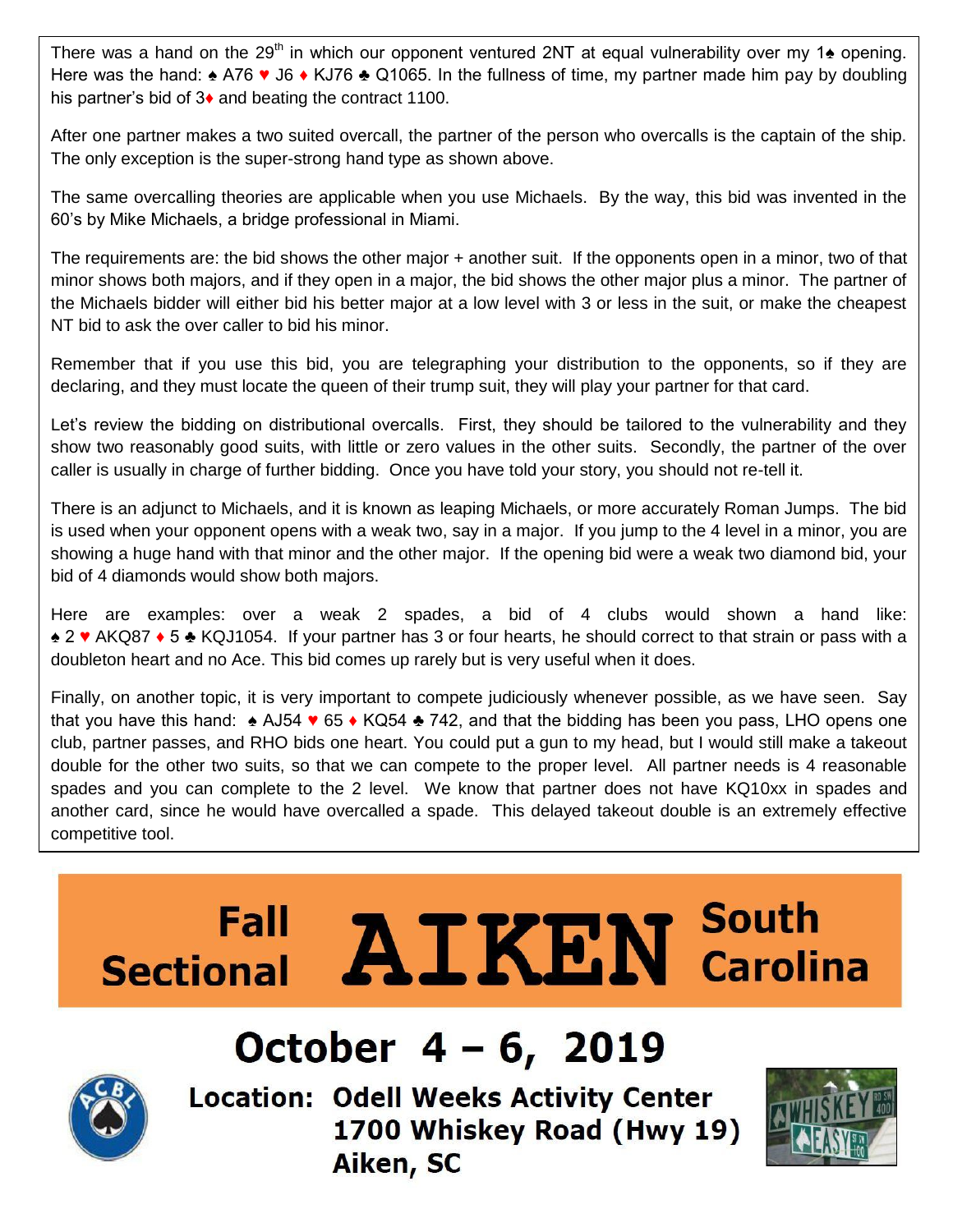There was a hand on the 29<sup>th</sup> in which our opponent ventured 2NT at equal vulnerability over my 1♠ opening. Here was the hand: ♠ A76 ♥ J6 ♦ KJ76 ♣ Q1065. In the fullness of time, my partner made him pay by doubling his partner's bid of 3♦ and beating the contract 1100.

After one partner makes a two suited overcall, the partner of the person who overcalls is the captain of the ship. The only exception is the super-strong hand type as shown above.

The same overcalling theories are applicable when you use Michaels. By the way, this bid was invented in the 60's by Mike Michaels, a bridge professional in Miami.

The requirements are: the bid shows the other major + another suit. If the opponents open in a minor, two of that minor shows both majors, and if they open in a major, the bid shows the other major plus a minor. The partner of the Michaels bidder will either bid his better major at a low level with 3 or less in the suit, or make the cheapest NT bid to ask the over caller to bid his minor.

Remember that if you use this bid, you are telegraphing your distribution to the opponents, so if they are declaring, and they must locate the queen of their trump suit, they will play your partner for that card.

Let's review the bidding on distributional overcalls. First, they should be tailored to the vulnerability and they show two reasonably good suits, with little or zero values in the other suits. Secondly, the partner of the over caller is usually in charge of further bidding. Once you have told your story, you should not re-tell it.

There is an adjunct to Michaels, and it is known as leaping Michaels, or more accurately Roman Jumps. The bid is used when your opponent opens with a weak two, say in a major. If you jump to the 4 level in a minor, you are showing a huge hand with that minor and the other major. If the opening bid were a weak two diamond bid, your bid of 4 diamonds would show both majors.

Here are examples: over a weak 2 spades, a bid of 4 clubs would shown a hand like: ♠ 2 ♥ AKQ87 ♦ 5 ♣ KQJ1054. If your partner has 3 or four hearts, he should correct to that strain or pass with a doubleton heart and no Ace. This bid comes up rarely but is very useful when it does.

**Falling Down Bridge** that you have this hand: ♠ AJ54 ♥ 65 ♦ KQ54 ♣ 742, and that the bidding has been you pass, LHO opens one Finally, on another topic, it is very important to compete judiciously whenever possible, as we have seen. Say club, partner passes, and RHO bids one heart. You could put a gun to my head, but I would still make a takeout double for the other two suits, so that we can compete to the proper level. All partner needs is 4 reasonable spades and you can complete to the 2 level. We know that partner does not have KQ10xx in spades and another card, since he would have overcalled a spade. This delayed takeout double is an extremely effective competitive tool.



# October 4 – 6, 2019



**Location: Odell Weeks Activity Center** 1700 Whiskey Road (Hwy 19) Aiken, SC

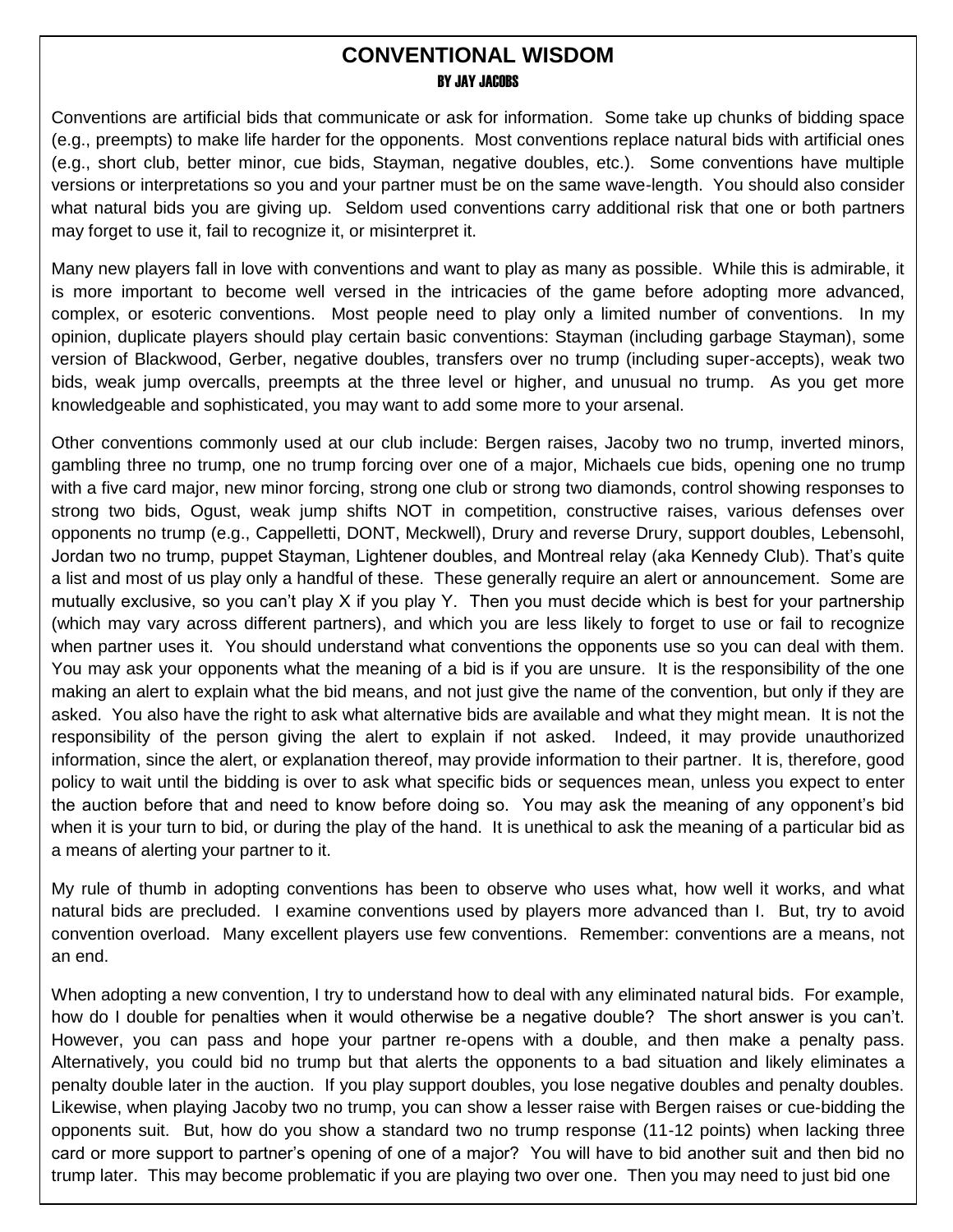#### **CONVENTIONAL WISDOM BY JAY JACOBS**

Conventions are artificial bids that communicate or ask for information. Some take up chunks of bidding space (e.g., preempts) to make life harder for the opponents. Most conventions replace natural bids with artificial ones (e.g., short club, better minor, cue bids, Stayman, negative doubles, etc.). Some conventions have multiple versions or interpretations so you and your partner must be on the same wave-length. You should also consider what natural bids you are giving up. Seldom used conventions carry additional risk that one or both partners may forget to use it, fail to recognize it, or misinterpret it.

Many new players fall in love with conventions and want to play as many as possible. While this is admirable, it is more important to become well versed in the intricacies of the game before adopting more advanced, complex, or esoteric conventions. Most people need to play only a limited number of conventions. In my opinion, duplicate players should play certain basic conventions: Stayman (including garbage Stayman), some version of Blackwood, Gerber, negative doubles, transfers over no trump (including super-accepts), weak two bids, weak jump overcalls, preempts at the three level or higher, and unusual no trump. As you get more knowledgeable and sophisticated, you may want to add some more to your arsenal.

Other conventions commonly used at our club include: Bergen raises, Jacoby two no trump, inverted minors, gambling three no trump, one no trump forcing over one of a major, Michaels cue bids, opening one no trump with a five card major, new minor forcing, strong one club or strong two diamonds, control showing responses to strong two bids, Ogust, weak jump shifts NOT in competition, constructive raises, various defenses over opponents no trump (e.g., Cappelletti, DONT, Meckwell), Drury and reverse Drury, support doubles, Lebensohl, Jordan two no trump, puppet Stayman, Lightener doubles, and Montreal relay (aka Kennedy Club). That's quite a list and most of us play only a handful of these. These generally require an alert or announcement. Some are mutually exclusive, so you can't play X if you play Y. Then you must decide which is best for your partnership (which may vary across different partners), and which you are less likely to forget to use or fail to recognize when partner uses it. You should understand what conventions the opponents use so you can deal with them. You may ask your opponents what the meaning of a bid is if you are unsure. It is the responsibility of the one making an alert to explain what the bid means, and not just give the name of the convention, but only if they are asked. You also have the right to ask what alternative bids are available and what they might mean. It is not the responsibility of the person giving the alert to explain if not asked. Indeed, it may provide unauthorized information, since the alert, or explanation thereof, may provide information to their partner. It is, therefore, good policy to wait until the bidding is over to ask what specific bids or sequences mean, unless you expect to enter the auction before that and need to know before doing so. You may ask the meaning of any opponent's bid when it is your turn to bid, or during the play of the hand. It is unethical to ask the meaning of a particular bid as a means of alerting your partner to it.

My rule of thumb in adopting conventions has been to observe who uses what, how well it works, and what natural bids are precluded. I examine conventions used by players more advanced than I. But, try to avoid convention overload. Many excellent players use few conventions. Remember: conventions are a means, not an end.

When adopting a new convention, I try to understand how to deal with any eliminated natural bids. For example, how do I double for penalties when it would otherwise be a negative double? The short answer is you can't. However, you can pass and hope your partner re-opens with a double, and then make a penalty pass. Alternatively, you could bid no trump but that alerts the opponents to a bad situation and likely eliminates a penalty double later in the auction. If you play support doubles, you lose negative doubles and penalty doubles. Likewise, when playing Jacoby two no trump, you can show a lesser raise with Bergen raises or cue-bidding the opponents suit. But, how do you show a standard two no trump response (11-12 points) when lacking three card or more support to partner's opening of one of a major? You will have to bid another suit and then bid no trump later. This may become problematic if you are playing two over one. Then you may need to just bid one